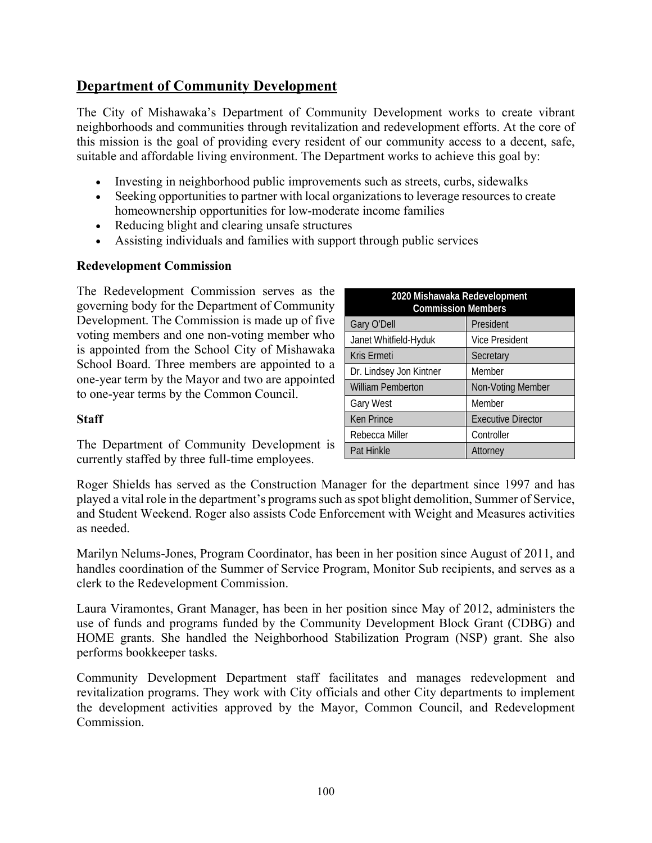# **Department of Community Development**

The City of Mishawaka's Department of Community Development works to create vibrant neighborhoods and communities through revitalization and redevelopment efforts. At the core of this mission is the goal of providing every resident of our community access to a decent, safe, suitable and affordable living environment. The Department works to achieve this goal by:

- Investing in neighborhood public improvements such as streets, curbs, sidewalks
- Seeking opportunities to partner with local organizations to leverage resources to create homeownership opportunities for low-moderate income families
- Reducing blight and clearing unsafe structures
- Assisting individuals and families with support through public services

#### **Redevelopment Commission**

The Redevelopment Commission serves as the governing body for the Department of Community Development. The Commission is made up of five voting members and one non-voting member who is appointed from the School City of Mishawaka School Board. Three members are appointed to a one-year term by the Mayor and two are appointed to one-year terms by the Common Council.

#### **Staff**

The Department of Community Development is currently staffed by three full-time employees.

| 2020 Mishawaka Redevelopment<br><b>Commission Members</b> |                           |  |
|-----------------------------------------------------------|---------------------------|--|
| Gary O'Dell                                               | President                 |  |
| Janet Whitfield-Hyduk                                     | <b>Vice President</b>     |  |
| Kris Ermeti                                               | Secretary                 |  |
| Dr. Lindsey Jon Kintner                                   | Member                    |  |
| <b>William Pemberton</b>                                  | Non-Voting Member         |  |
| Gary West                                                 | Member                    |  |
| Ken Prince                                                | <b>Executive Director</b> |  |
| Rebecca Miller                                            | Controller                |  |
| Pat Hinkle                                                | Attorney                  |  |

Roger Shields has served as the Construction Manager for the department since 1997 and has played a vital role in the department's programs such as spot blight demolition, Summer of Service, and Student Weekend. Roger also assists Code Enforcement with Weight and Measures activities as needed.

Marilyn Nelums-Jones, Program Coordinator, has been in her position since August of 2011, and handles coordination of the Summer of Service Program, Monitor Sub recipients, and serves as a clerk to the Redevelopment Commission.

Laura Viramontes, Grant Manager, has been in her position since May of 2012, administers the use of funds and programs funded by the Community Development Block Grant (CDBG) and HOME grants. She handled the Neighborhood Stabilization Program (NSP) grant. She also performs bookkeeper tasks.

Community Development Department staff facilitates and manages redevelopment and revitalization programs. They work with City officials and other City departments to implement the development activities approved by the Mayor, Common Council, and Redevelopment Commission.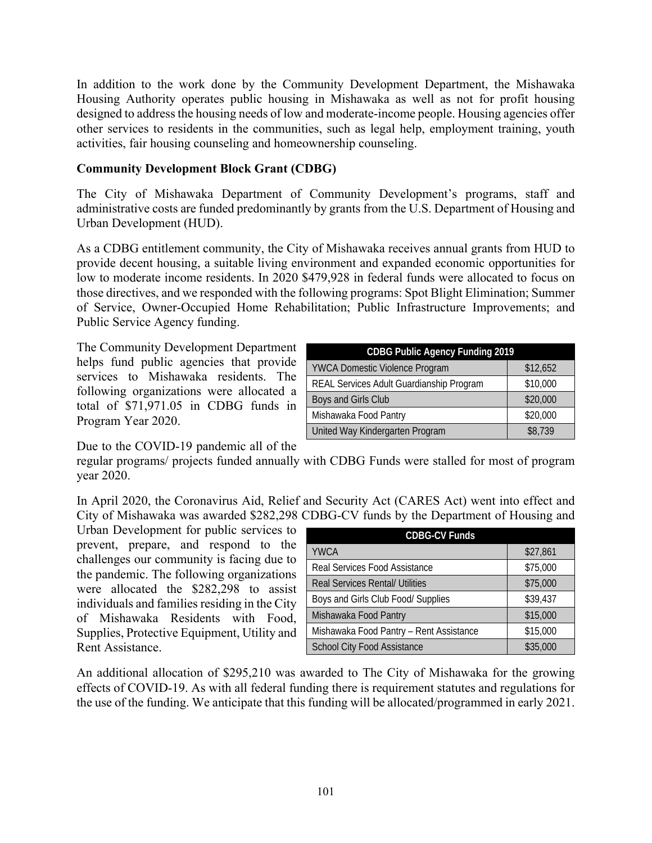In addition to the work done by the Community Development Department, the Mishawaka Housing Authority operates public housing in Mishawaka as well as not for profit housing designed to address the housing needs of low and moderate-income people. Housing agencies offer other services to residents in the communities, such as legal help, employment training, youth activities, fair housing counseling and homeownership counseling.

## **Community Development Block Grant (CDBG)**

The City of Mishawaka Department of Community Development's programs, staff and administrative costs are funded predominantly by grants from the U.S. Department of Housing and Urban Development (HUD).

As a CDBG entitlement community, the City of Mishawaka receives annual grants from HUD to provide decent housing, a suitable living environment and expanded economic opportunities for low to moderate income residents. In 2020 \$479,928 in federal funds were allocated to focus on those directives, and we responded with the following programs: Spot Blight Elimination; Summer of Service, Owner-Occupied Home Rehabilitation; Public Infrastructure Improvements; and Public Service Agency funding.

The Community Development Department helps fund public agencies that provide services to Mishawaka residents. The following organizations were allocated a total of \$71,971.05 in CDBG funds in Program Year 2020.

| <b>CDBG Public Agency Funding 2019</b>   |          |  |
|------------------------------------------|----------|--|
| <b>YWCA Domestic Violence Program</b>    | \$12,652 |  |
| REAL Services Adult Guardianship Program | \$10,000 |  |
| Boys and Girls Club                      | \$20,000 |  |
| Mishawaka Food Pantry                    | \$20,000 |  |
| United Way Kindergarten Program          | \$8,739  |  |

Due to the COVID-19 pandemic all of the

regular programs/ projects funded annually with CDBG Funds were stalled for most of program year 2020.

In April 2020, the Coronavirus Aid, Relief and Security Act (CARES Act) went into effect and City of Mishawaka was awarded \$282,298 CDBG-CV funds by the Department of Housing and

Urban Development for public services to prevent, prepare, and respond to the challenges our community is facing due to the pandemic. The following organizations were allocated the \$282,298 to assist individuals and families residing in the City of Mishawaka Residents with Food, Supplies, Protective Equipment, Utility and Rent Assistance.

| <b>CDBG-CV Funds</b>                    |          |  |
|-----------------------------------------|----------|--|
| <b>YWCA</b>                             | \$27,861 |  |
| <b>Real Services Food Assistance</b>    | \$75,000 |  |
| <b>Real Services Rental/ Utilities</b>  | \$75,000 |  |
| Boys and Girls Club Food/ Supplies      | \$39,437 |  |
| Mishawaka Food Pantry                   | \$15,000 |  |
| Mishawaka Food Pantry - Rent Assistance | \$15,000 |  |
| <b>School City Food Assistance</b>      | \$35,000 |  |

An additional allocation of \$295,210 was awarded to The City of Mishawaka for the growing effects of COVID-19. As with all federal funding there is requirement statutes and regulations for the use of the funding. We anticipate that this funding will be allocated/programmed in early 2021.